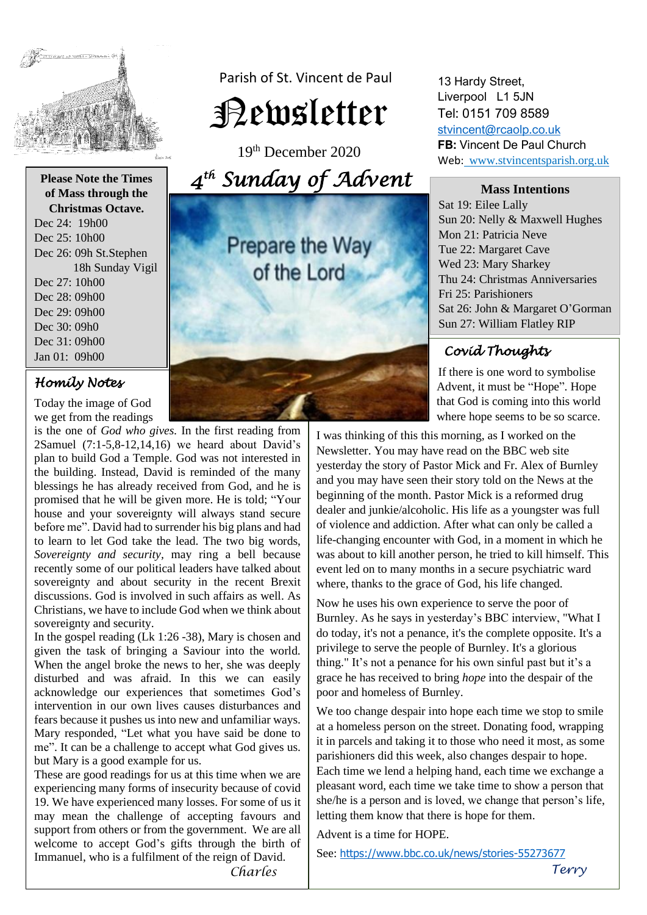

Please Note the Times 4 **of Mass through the Christmas Octave.** Dec 24: 19h00 Dec 25: 10h00 Dec 26: 09h St.Stephen 18h Sunday Vigil Dec 27: 10h00 Dec 28: 09h00 Dec 29: 09h00 Dec 30: 09h0 Dec 31: 09h00 Jan 01: 09h00

### *Homily Notes*

Today the image of God we get from the readings

is the one of *God who gives.* In the first reading from 2Samuel (7:1-5,8-12,14,16) we heard about David's plan to build God a Temple. God was not interested in the building. Instead, David is reminded of the many blessings he has already received from God, and he is promised that he will be given more. He is told; "Your house and your sovereignty will always stand secure before me". David had to surrender his big plans and had to learn to let God take the lead. The two big words, *Sovereignty and security,* may ring a bell because recently some of our political leaders have talked about sovereignty and about security in the recent Brexit discussions. God is involved in such affairs as well. As Christians, we have to include God when we think about sovereignty and security.

In the gospel reading (Lk 1:26 -38), Mary is chosen and given the task of bringing a Saviour into the world. When the angel broke the news to her, she was deeply disturbed and was afraid. In this we can easily acknowledge our experiences that sometimes God's intervention in our own lives causes disturbances and fears because it pushes us into new and unfamiliar ways. Mary responded, "Let what you have said be done to me". It can be a challenge to accept what God gives us. but Mary is a good example for us.

These are good readings for us at this time when we are experiencing many forms of insecurity because of covid 19. We have experienced many losses. For some of us it may mean the challenge of accepting favours and support from others or from the government. We are all welcome to accept God's gifts through the birth of Immanuel, who is a fulfilment of the reign of David.



Parish of St. Vincent de Paul

Newsletter

[stvincent@rcaolp.co.uk](mailto:stvincent@rcaolp.co.uk) **FB:** Vincent De Paul Church Web: www.stvincentsparish.org.uk

13 Hardy Street, Liverpool L1 5JN Tel: 0151 709 8589

#### **Mass Intentions**

Sat 19: Eilee Lally Sun 20: Nelly & Maxwell Hughes Mon 21: Patricia Neve Tue 22: Margaret Cave Wed 23: Mary Sharkey Thu 24: Christmas Anniversaries Fri 25: Parishioners Sat 26: John & Margaret O'Gorman Sun 27: William Flatley RIP

## *Covid Thoughts*

If there is one word to symbolise Advent, it must be "Hope". Hope that God is coming into this world where hope seems to be so scarce.

I was thinking of this this morning, as I worked on the Newsletter. You may have read on the BBC web site yesterday the story of Pastor Mick and Fr. Alex of Burnley and you may have seen their story told on the News at the beginning of the month. Pastor Mick is a reformed drug dealer and junkie/alcoholic. His life as a youngster was full of violence and addiction. After what can only be called a life-changing encounter with God, in a moment in which he was about to kill another person, he tried to kill himself. This event led on to many months in a secure psychiatric ward where, thanks to the grace of God, his life changed.

Ī

Now he uses his own experience to serve the poor of Burnley. As he says in yesterday's BBC interview, "What I do today, it's not a penance, it's the complete opposite. It's a privilege to serve the people of Burnley. It's a glorious thing." It's not a penance for his own sinful past but it's a grace he has received to bring *hope* into the despair of the poor and homeless of Burnley.

We too change despair into hope each time we stop to smile at a homeless person on the street. Donating food, wrapping it in parcels and taking it to those who need it most, as some parishioners did this week, also changes despair to hope.

Each time we lend a helping hand, each time we exchange a pleasant word, each time we take time to show a person that she/he is a person and is loved, we change that person's life, letting them know that there is hope for them.

Advent is a time for HOPE.

See: <https://www.bbc.co.uk/news/stories-55273677>

*Charles*